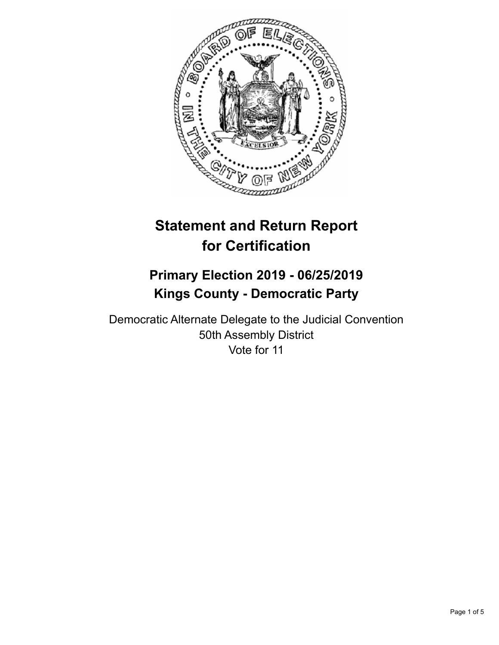

# **Statement and Return Report for Certification**

## **Primary Election 2019 - 06/25/2019 Kings County - Democratic Party**

Democratic Alternate Delegate to the Judicial Convention 50th Assembly District Vote for 11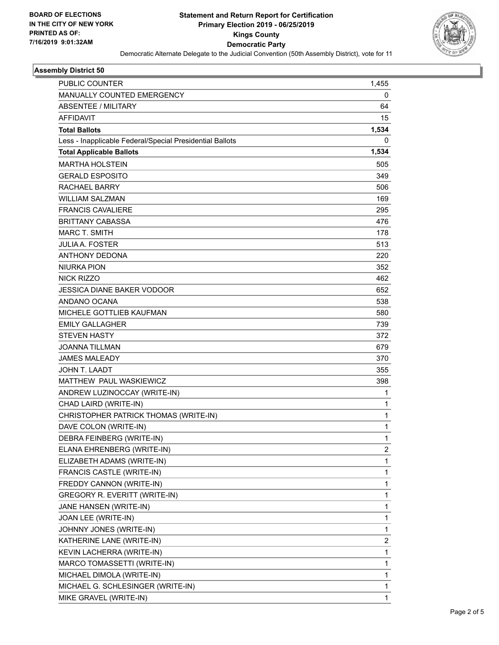

### **Assembly District 50**

| PUBLIC COUNTER                                           | 1,455        |
|----------------------------------------------------------|--------------|
| MANUALLY COUNTED EMERGENCY                               | 0            |
| <b>ABSENTEE / MILITARY</b>                               | 64           |
| <b>AFFIDAVIT</b>                                         | 15           |
| <b>Total Ballots</b>                                     | 1,534        |
| Less - Inapplicable Federal/Special Presidential Ballots | 0            |
| <b>Total Applicable Ballots</b>                          | 1,534        |
| <b>MARTHA HOLSTEIN</b>                                   | 505          |
| <b>GERALD ESPOSITO</b>                                   | 349          |
| RACHAEL BARRY                                            | 506          |
| WILLIAM SALZMAN                                          | 169          |
| <b>FRANCIS CAVALIERE</b>                                 | 295          |
| <b>BRITTANY CABASSA</b>                                  | 476          |
| <b>MARC T. SMITH</b>                                     | 178          |
| <b>JULIA A. FOSTER</b>                                   | 513          |
| ANTHONY DEDONA                                           | 220          |
| <b>NIURKA PION</b>                                       | 352          |
| <b>NICK RIZZO</b>                                        | 462          |
| JESSICA DIANE BAKER VODOOR                               | 652          |
| ANDANO OCANA                                             | 538          |
| MICHELE GOTTLIEB KAUFMAN                                 | 580          |
| <b>EMILY GALLAGHER</b>                                   | 739          |
| <b>STEVEN HASTY</b>                                      | 372          |
| <b>JOANNA TILLMAN</b>                                    | 679          |
| <b>JAMES MALEADY</b>                                     | 370          |
| <b>JOHN T. LAADT</b>                                     | 355          |
| MATTHEW PAUL WASKIEWICZ                                  | 398          |
| ANDREW LUZINOCCAY (WRITE-IN)                             | 1            |
| CHAD LAIRD (WRITE-IN)                                    | 1            |
| CHRISTOPHER PATRICK THOMAS (WRITE-IN)                    | $\mathbf 1$  |
| DAVE COLON (WRITE-IN)                                    | 1            |
| DEBRA FEINBERG (WRITE-IN)                                | 1            |
| ELANA EHRENBERG (WRITE-IN)                               | 2            |
| ELIZABETH ADAMS (WRITE-IN)                               | 1            |
| FRANCIS CASTLE (WRITE-IN)                                | 1            |
| FREDDY CANNON (WRITE-IN)                                 | 1            |
| GREGORY R. EVERITT (WRITE-IN)                            | 1            |
| JANE HANSEN (WRITE-IN)                                   | 1            |
| JOAN LEE (WRITE-IN)                                      | $\mathbf{1}$ |
| JOHNNY JONES (WRITE-IN)                                  | 1            |
| KATHERINE LANE (WRITE-IN)                                | 2            |
| KEVIN LACHERRA (WRITE-IN)                                | 1            |
| MARCO TOMASSETTI (WRITE-IN)                              | 1            |
| MICHAEL DIMOLA (WRITE-IN)                                | 1            |
| MICHAEL G. SCHLESINGER (WRITE-IN)                        | 1            |
| MIKE GRAVEL (WRITE-IN)                                   | 1            |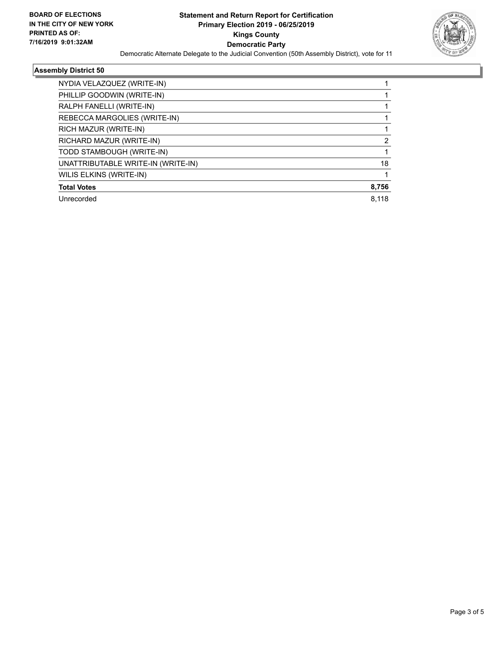

#### **Assembly District 50**

| NYDIA VELAZQUEZ (WRITE-IN)         |       |
|------------------------------------|-------|
| PHILLIP GOODWIN (WRITE-IN)         |       |
| RALPH FANELLI (WRITE-IN)           |       |
| REBECCA MARGOLIES (WRITE-IN)       |       |
| RICH MAZUR (WRITE-IN)              |       |
| RICHARD MAZUR (WRITE-IN)           | 2     |
| TODD STAMBOUGH (WRITE-IN)          |       |
| UNATTRIBUTABLE WRITE-IN (WRITE-IN) | 18    |
| WILIS ELKINS (WRITE-IN)            |       |
| <b>Total Votes</b>                 | 8,756 |
| Unrecorded                         | 8.118 |
|                                    |       |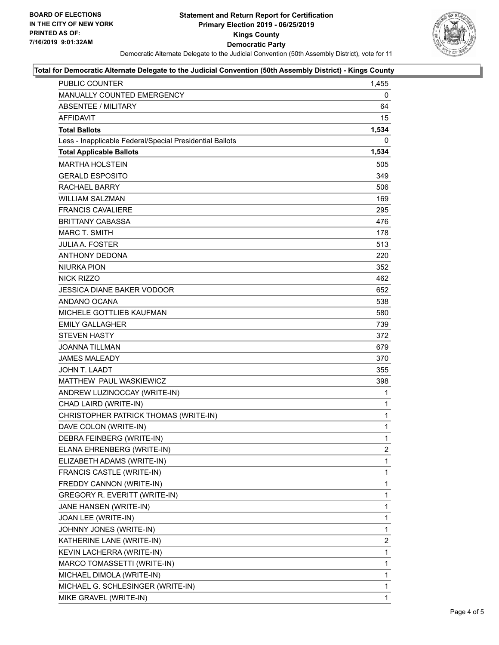

#### **Total for Democratic Alternate Delegate to the Judicial Convention (50th Assembly District) - Kings County**

| <b>PUBLIC COUNTER</b>                                    | 1.455          |
|----------------------------------------------------------|----------------|
| MANUALLY COUNTED EMERGENCY                               | 0              |
| <b>ABSENTEE / MILITARY</b>                               | 64             |
| <b>AFFIDAVIT</b>                                         | 15             |
| <b>Total Ballots</b>                                     | 1,534          |
| Less - Inapplicable Federal/Special Presidential Ballots | 0              |
| <b>Total Applicable Ballots</b>                          | 1,534          |
| <b>MARTHA HOLSTEIN</b>                                   | 505            |
| <b>GERALD ESPOSITO</b>                                   | 349            |
| <b>RACHAEL BARRY</b>                                     | 506            |
| <b>WILLIAM SALZMAN</b>                                   | 169            |
| <b>FRANCIS CAVALIERE</b>                                 | 295            |
| <b>BRITTANY CABASSA</b>                                  | 476            |
| <b>MARC T. SMITH</b>                                     | 178            |
| <b>JULIA A. FOSTER</b>                                   | 513            |
| <b>ANTHONY DEDONA</b>                                    | 220            |
| <b>NIURKA PION</b>                                       | 352            |
| <b>NICK RIZZO</b>                                        | 462            |
| JESSICA DIANE BAKER VODOOR                               | 652            |
| ANDANO OCANA                                             | 538            |
| <b>MICHELE GOTTLIEB KAUFMAN</b>                          | 580            |
| <b>EMILY GALLAGHER</b>                                   | 739            |
| <b>STEVEN HASTY</b>                                      | 372            |
| <b>JOANNA TILLMAN</b>                                    | 679            |
| <b>JAMES MALEADY</b>                                     | 370            |
| JOHN T. LAADT                                            | 355            |
| MATTHEW PAUL WASKIEWICZ                                  | 398            |
| ANDREW LUZINOCCAY (WRITE-IN)                             | 1              |
| CHAD LAIRD (WRITE-IN)                                    | 1              |
| CHRISTOPHER PATRICK THOMAS (WRITE-IN)                    | $\mathbf{1}$   |
| DAVE COLON (WRITE-IN)                                    | $\mathbf{1}$   |
| DEBRA FEINBERG (WRITE-IN)                                | 1              |
| ELANA EHRENBERG (WRITE-IN)                               | $\overline{2}$ |
| ELIZABETH ADAMS (WRITE-IN)                               | 1              |
| FRANCIS CASTLE (WRITE-IN)                                | 1              |
| FREDDY CANNON (WRITE-IN)                                 | 1              |
| <b>GREGORY R. EVERITT (WRITE-IN)</b>                     | 1              |
| JANE HANSEN (WRITE-IN)                                   | 1              |
| JOAN LEE (WRITE-IN)                                      | 1              |
| JOHNNY JONES (WRITE-IN)                                  | 1              |
| KATHERINE LANE (WRITE-IN)                                | $\overline{2}$ |
| KEVIN LACHERRA (WRITE-IN)                                | 1              |
| MARCO TOMASSETTI (WRITE-IN)                              | 1              |
| MICHAEL DIMOLA (WRITE-IN)                                | 1              |
| MICHAEL G. SCHLESINGER (WRITE-IN)                        | 1              |
| MIKE GRAVEL (WRITE-IN)                                   | 1              |